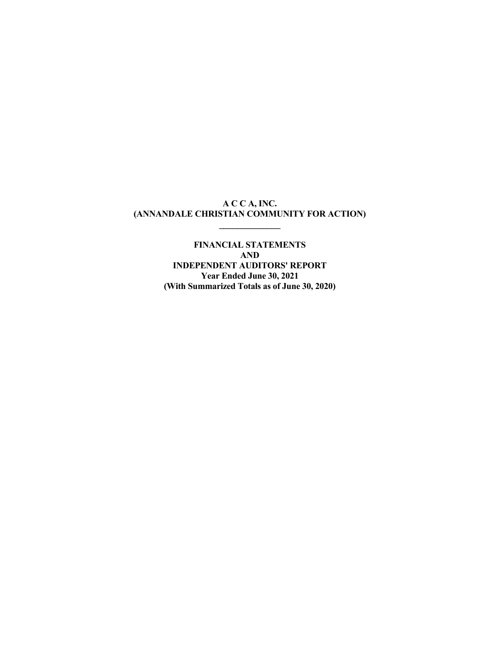### **A C C A, INC. (ANNANDALE CHRISTIAN COMMUNITY FOR ACTION)**

**\_\_\_\_\_\_\_\_\_\_\_\_\_\_** 

**FINANCIAL STATEMENTS AND INDEPENDENT AUDITORS' REPORT Year Ended June 30, 2021 (With Summarized Totals as of June 30, 2020)**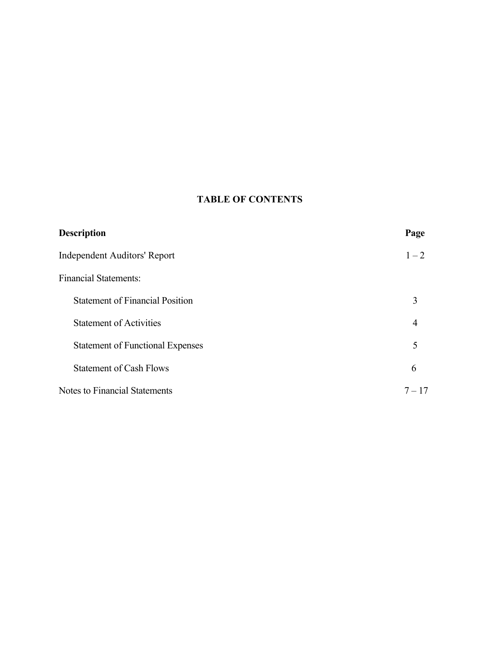# **TABLE OF CONTENTS**

| <b>Description</b>                      | Page     |
|-----------------------------------------|----------|
| Independent Auditors' Report            | $1 - 2$  |
| <b>Financial Statements:</b>            |          |
| <b>Statement of Financial Position</b>  | 3        |
| <b>Statement of Activities</b>          | 4        |
| <b>Statement of Functional Expenses</b> | 5        |
| <b>Statement of Cash Flows</b>          | 6        |
| Notes to Financial Statements           | $7 - 17$ |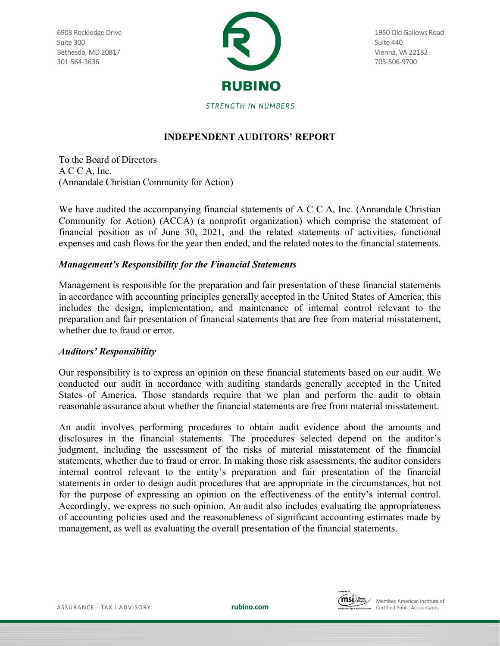6903 Rockledge Drive Suite 300 Bethesda, MD 20817 301-564-3636



1950 Old Gallows Road Suite 440 Vienna, VA 22182 703-506-9700

STRENGTH IN NUMBERS

# **INDEPENDENT AUDITORS' REPORT**

To the Board of Directors A C C A, Inc. (Annandale Christian Community for Action)

We have audited the accompanying financial statements of A C C A, Inc. (Annandale Christian Community for Action) (ACCA) (a nonprofit organization) which comprise the statement of financial position as of June 30, 2021, and the related statements of activities, functional expenses and cash flows for the year then ended, and the related notes to the financial statements.

# *Management's Responsibility for the Financial Statements*

Management is responsible for the preparation and fair presentation of these financial statements in accordance with accounting principles generally accepted in the United States of America; this includes the design, implementation, and maintenance of internal control relevant to the preparation and fair presentation of financial statements that are free from material misstatement, whether due to fraud or error.

# *Auditors' Responsibility*

Our responsibility is to express an opinion on these financial statements based on our audit. We conducted our audit in accordance with auditing standards generally accepted in the United States of America. Those standards require that we plan and perform the audit to obtain reasonable assurance about whether the financial statements are free from material misstatement.

An audit involves performing procedures to obtain audit evidence about the amounts and disclosures in the financial statements. The procedures selected depend on the auditor's judgment, including the assessment of the risks of material misstatement of the financial statements, whether due to fraud or error. In making those risk assessments, the auditor considers internal control relevant to the entity's preparation and fair presentation of the financial statements in order to design audit procedures that are appropriate in the circumstances, but not for the purpose of expressing an opinion on the effectiveness of the entity's internal control. Accordingly, we express no such opinion. An audit also includes evaluating the appropriateness of accounting policies used and the reasonableness of significant accounting estimates made by management, as well as evaluating the overall presentation of the financial statements.

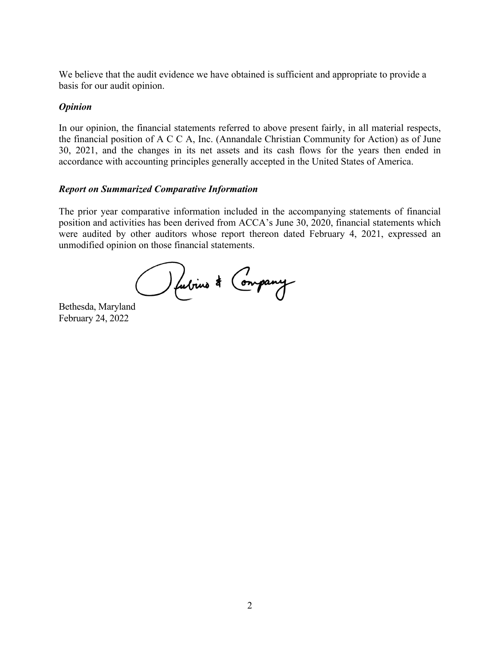We believe that the audit evidence we have obtained is sufficient and appropriate to provide a basis for our audit opinion.

### *Opinion*

In our opinion, the financial statements referred to above present fairly, in all material respects, the financial position of A C C A, Inc. (Annandale Christian Community for Action) as of June 30, 2021, and the changes in its net assets and its cash flows for the years then ended in accordance with accounting principles generally accepted in the United States of America.

## *Report on Summarized Comparative Information*

The prior year comparative information included in the accompanying statements of financial position and activities has been derived from ACCA's June 30, 2020, financial statements which were audited by other auditors whose report thereon dated February 4, 2021, expressed an unmodified opinion on those financial statements.

Bethesda, Maryland

February 24, 2022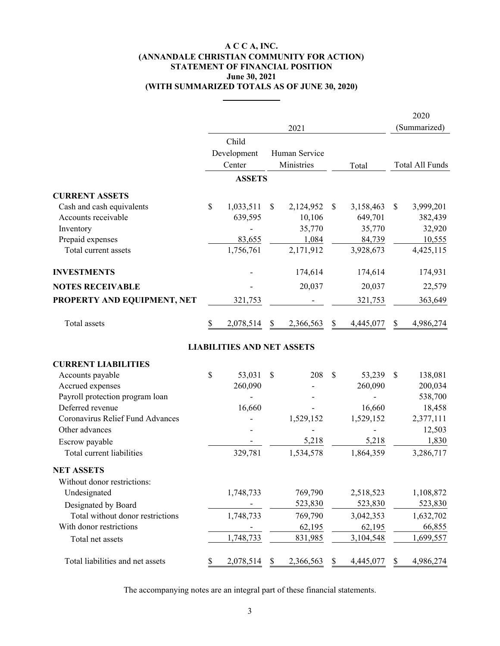#### **A C C A, INC. June 30, 2021 (ANNANDALE CHRISTIAN COMMUNITY FOR ACTION) STATEMENT OF FINANCIAL POSITION (WITH SUMMARIZED TOTALS AS OF JUNE 30, 2020)**

**\_\_\_\_\_\_\_\_\_\_\_\_**

|                                  |               |                                   |               |               |              |           | 2020            |
|----------------------------------|---------------|-----------------------------------|---------------|---------------|--------------|-----------|-----------------|
|                                  |               |                                   |               | 2021          |              |           | (Summarized)    |
|                                  |               | Child                             |               |               |              |           |                 |
|                                  |               | Development                       |               | Human Service |              |           |                 |
|                                  |               | Center                            |               | Ministries    |              | Total     | Total All Funds |
|                                  |               | <b>ASSETS</b>                     |               |               |              |           |                 |
| <b>CURRENT ASSETS</b>            |               |                                   |               |               |              |           |                 |
| Cash and cash equivalents        | $\mathcal{S}$ | 1,033,511                         | <sup>S</sup>  | 2,124,952     | \$           | 3,158,463 | \$<br>3,999,201 |
| Accounts receivable              |               | 639,595                           |               | 10,106        |              | 649,701   | 382,439         |
| Inventory                        |               |                                   |               | 35,770        |              | 35,770    | 32,920          |
| Prepaid expenses                 |               | 83,655                            |               | 1,084         |              | 84,739    | 10,555          |
| Total current assets             |               | 1,756,761                         |               | 2,171,912     |              | 3,928,673 | 4,425,115       |
| <b>INVESTMENTS</b>               |               |                                   |               | 174,614       |              | 174,614   | 174,931         |
| <b>NOTES RECEIVABLE</b>          |               |                                   |               | 20,037        |              | 20,037    | 22,579          |
| PROPERTY AND EQUIPMENT, NET      |               | 321,753                           |               |               |              | 321,753   | 363,649         |
| Total assets                     | \$            | 2,078,514                         | <sup>S</sup>  | 2,366,563     | \$           | 4,445,077 | \$<br>4,986,274 |
|                                  |               | <b>LIABILITIES AND NET ASSETS</b> |               |               |              |           |                 |
| <b>CURRENT LIABILITIES</b>       |               |                                   |               |               |              |           |                 |
| Accounts payable                 | $\mathcal{S}$ | 53,031                            | $\mathcal{S}$ | 208           | $\mathbb{S}$ | 53,239    | \$<br>138,081   |
| Accrued expenses                 |               | 260,090                           |               |               |              | 260,090   | 200,034         |
| Payroll protection program loan  |               |                                   |               |               |              |           | 538,700         |
| Deferred revenue                 |               | 16,660                            |               |               |              | 16,660    | 18,458          |
| Coronavirus Relief Fund Advances |               |                                   |               | 1,529,152     |              | 1,529,152 | 2,377,111       |
| Other advances                   |               |                                   |               |               |              |           | 12,503          |
| Escrow payable                   |               |                                   |               | 5,218         |              | 5,218     | 1,830           |
| Total current liabilities        |               | 329,781                           |               | 1,534,578     |              | 1,864,359 | 3,286,717       |
| <b>NET ASSETS</b>                |               |                                   |               |               |              |           |                 |
| Without donor restrictions:      |               |                                   |               |               |              |           |                 |
| Undesignated                     |               | 1,748,733                         |               | 769,790       |              | 2,518,523 | 1,108,872       |
| Designated by Board              |               |                                   |               | 523,830       |              | 523,830   | 523,830         |
| Total without donor restrictions |               | 1,748,733                         |               | 769,790       |              | 3,042,353 | 1,632,702       |
| With donor restrictions          |               |                                   |               | 62,195        |              | 62,195    | 66,855          |
| Total net assets                 |               | 1,748,733                         |               | 831,985       |              | 3,104,548 | 1,699,557       |
| Total liabilities and net assets | \$            | 2,078,514                         | \$            | 2,366,563     | \$           | 4,445,077 | \$<br>4,986,274 |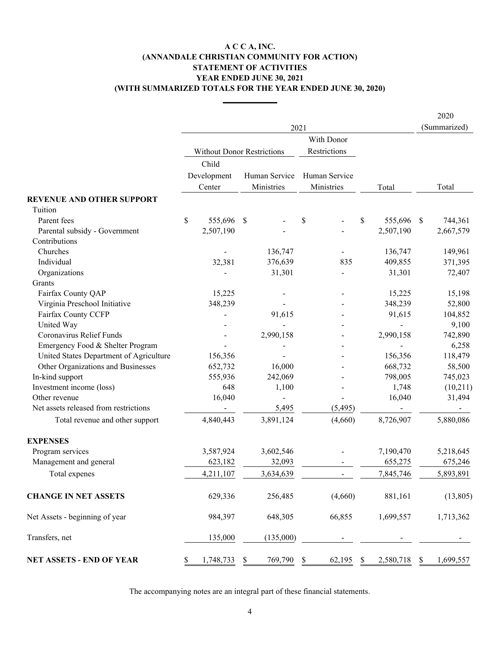### **A C C A, INC. (ANNANDALE CHRISTIAN COMMUNITY FOR ACTION) STATEMENT OF ACTIVITIES YEAR ENDED JUNE 30, 2021 (WITH SUMMARIZED TOTALS FOR THE YEAR ENDED JUNE 30, 2020)**

**\_\_\_\_\_\_\_\_\_\_\_\_**

|                                         |                                   |                           |               |                                           |           |                           | 2020         |
|-----------------------------------------|-----------------------------------|---------------------------|---------------|-------------------------------------------|-----------|---------------------------|--------------|
|                                         |                                   |                           | 2021          |                                           |           |                           | (Summarized) |
|                                         |                                   |                           |               | With Donor                                |           |                           |              |
|                                         | <b>Without Donor Restrictions</b> |                           |               | Restrictions                              |           |                           |              |
|                                         | Child                             |                           |               |                                           |           |                           |              |
|                                         | Development                       |                           | Human Service | Human Service                             |           |                           |              |
|                                         | Center                            |                           | Ministries    | Ministries                                | Total     |                           | Total        |
| <b>REVENUE AND OTHER SUPPORT</b>        |                                   |                           |               |                                           |           |                           |              |
| Tuition                                 |                                   |                           |               |                                           |           |                           |              |
| Parent fees                             | \$<br>555,696                     | -S                        |               | \$<br>\$                                  | 555,696   | <sup>\$</sup>             | 744,361      |
| Parental subsidy - Government           | 2,507,190                         |                           |               |                                           | 2,507,190 |                           | 2,667,579    |
| Contributions                           |                                   |                           |               |                                           |           |                           |              |
| Churches                                |                                   |                           | 136,747       |                                           | 136,747   |                           | 149,961      |
| Individual                              | 32,381                            |                           | 376,639       | 835                                       | 409,855   |                           | 371,395      |
| Organizations                           |                                   |                           | 31,301        |                                           | 31,301    |                           | 72,407       |
| Grants                                  |                                   |                           |               |                                           |           |                           |              |
| Fairfax County QAP                      | 15,225                            |                           |               |                                           | 15,225    |                           | 15,198       |
| Virginia Preschool Initiative           | 348,239                           |                           |               |                                           | 348,239   |                           | 52,800       |
| Fairfax County CCFP                     |                                   |                           | 91,615        |                                           | 91,615    |                           | 104,852      |
| United Way                              |                                   |                           |               |                                           |           |                           | 9,100        |
| Coronavirus Relief Funds                |                                   |                           | 2,990,158     |                                           | 2,990,158 |                           | 742,890      |
| Emergency Food & Shelter Program        |                                   |                           |               |                                           |           |                           | 6,258        |
| United States Department of Agriculture | 156,356                           |                           |               |                                           | 156,356   |                           | 118,479      |
| Other Organizations and Businesses      | 652,732                           |                           | 16,000        |                                           | 668,732   |                           | 58,500       |
| In-kind support                         | 555,936                           |                           | 242,069       |                                           | 798,005   |                           | 745,023      |
| Investment income (loss)                | 648                               |                           | 1,100         |                                           | 1,748     |                           | (10,211)     |
| Other revenue                           | 16,040                            |                           |               |                                           | 16,040    |                           | 31,494       |
| Net assets released from restrictions   |                                   |                           | 5,495         | (5, 495)                                  |           |                           |              |
| Total revenue and other support         | 4,840,443                         |                           | 3,891,124     | (4,660)                                   | 8,726,907 |                           | 5,880,086    |
| <b>EXPENSES</b>                         |                                   |                           |               |                                           |           |                           |              |
| Program services                        | 3,587,924                         |                           | 3,602,546     |                                           | 7,190,470 |                           | 5,218,645    |
| Management and general                  | 623,182                           |                           | 32,093        |                                           | 655,275   |                           | 675,246      |
| Total expenes                           | 4,211,107                         |                           | 3,634,639     |                                           | 7,845,746 |                           | 5,893,891    |
| <b>CHANGE IN NET ASSETS</b>             | 629,336                           |                           | 256,485       | (4,660)                                   | 881,161   |                           | (13,805)     |
| Net Assets - beginning of year          | 984,397                           |                           | 648,305       | 66,855                                    | 1,699,557 |                           | 1,713,362    |
| Transfers, net                          | 135,000                           |                           | (135,000)     |                                           |           |                           |              |
| NET ASSETS - END OF YEAR                | \$<br>1,748,733                   | $\boldsymbol{\mathsf{S}}$ | 769,790       | \$<br>$\boldsymbol{\mathsf{S}}$<br>62,195 | 2,580,718 | $\boldsymbol{\mathsf{S}}$ | 1,699,557    |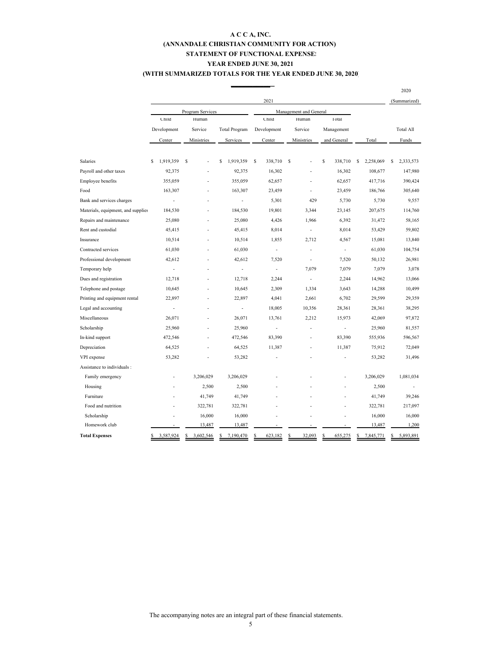#### **A C C A, INC. (ANNANDALE CHRISTIAN COMMUNITY FOR ACTION) YEAR ENDED JUNE 30, 2021 (WITH SUMMARIZED TOTALS FOR THE YEAR ENDED JUNE 30, 2020) STATEMENT OF FUNCTIONAL EXPENSES**

|                                    |                 |                  |                      |                          |                          |                          |                | 2020             |
|------------------------------------|-----------------|------------------|----------------------|--------------------------|--------------------------|--------------------------|----------------|------------------|
|                                    |                 |                  |                      | 2021                     |                          |                          |                | (Summarized)     |
|                                    |                 | Program Services |                      |                          | Management and General   |                          |                |                  |
|                                    | Child           | Human            |                      | Child                    | Human                    | Total                    |                |                  |
|                                    | Development     | Service          | <b>Total Program</b> | Development              | Service                  | Management               |                | <b>Total All</b> |
|                                    | Center          | Ministries       | Services             | Center                   | Ministries               | and General              | Total          | Funds            |
|                                    |                 |                  |                      |                          |                          |                          |                |                  |
| <b>Salaries</b>                    | \$<br>1,919,359 | S                | \$<br>1,919,359      | $\mathsf{s}$<br>338,710  | S                        | \$<br>338,710            | S<br>2,258,069 | \$<br>2,333,573  |
| Payroll and other taxes            | 92,375          |                  | 92,375               | 16,302                   |                          | 16,302                   | 108,677        | 147,980          |
| Employee benefits                  | 355,059         |                  | 355,059              | 62,657                   |                          | 62,657                   | 417,716        | 390,424          |
| Food                               | 163,307         |                  | 163,307              | 23,459                   |                          | 23,459                   | 186,766        | 305,640          |
| Bank and services charges          | $\overline{a}$  |                  | $\overline{a}$       | 5,301                    | 429                      | 5,730                    | 5,730          | 9,557            |
| Materials, equipment, and supplies | 184,530         |                  | 184,530              | 19,801                   | 3,344                    | 23,145                   | 207,675        | 114,760          |
| Repairs and maintenance            | 25,080          |                  | 25,080               | 4,426                    | 1,966                    | 6,392                    | 31,472         | 58,165           |
| Rent and custodial                 | 45,415          |                  | 45,415               | 8,014                    | $\sim$                   | 8,014                    | 53,429         | 59,802           |
| Insurance                          | 10,514          |                  | 10,514               | 1,855                    | 2,712                    | 4,567                    | 15,081         | 13,840           |
| Contracted services                | 61,030          |                  | 61,030               | $\overline{\phantom{a}}$ | ÷                        | $\overline{\phantom{a}}$ | 61,030         | 104,754          |
| Professional development           | 42,612          |                  | 42,612               | 7,520                    |                          | 7,520                    | 50,132         | 26,981           |
| Temporary help                     | $\overline{a}$  |                  | $\overline{a}$       | $\overline{\phantom{a}}$ | 7,079                    | 7,079                    | 7,079          | 3,078            |
| Dues and registration              | 12,718          |                  | 12,718               | 2,244                    | $\overline{a}$           | 2,244                    | 14,962         | 13,066           |
| Telephone and postage              | 10,645          |                  | 10,645               | 2,309                    | 1,334                    | 3,643                    | 14,288         | 10,499           |
| Printing and equipment rental      | 22,897          |                  | 22,897               | 4,041                    | 2,661                    | 6,702                    | 29,599         | 29,359           |
| Legal and accounting               |                 |                  | $\overline{a}$       | 18,005                   | 10,356                   | 28,361                   | 28,361         | 38,295           |
| Miscellaneous                      | 26,071          |                  | 26,071               | 13,761                   | 2,212                    | 15,973                   | 42,069         | 97,872           |
| Scholarship                        | 25,960          |                  | 25,960               |                          | $\overline{a}$           | $\overline{a}$           | 25,960         | 81,557           |
| In-kind support                    | 472,546         |                  | 472,546              | 83,390                   | $\overline{\phantom{a}}$ | 83,390                   | 555,936        | 596,567          |
| Depreciation                       | 64,525          |                  | 64,525               | 11,387                   | $\overline{a}$           | 11,387                   | 75,912         | 72,049           |
| VPI expense                        | 53,282          |                  | 53,282               |                          | ÷,                       |                          | 53,282         | 31,496           |
| Assistance to individuals :        |                 |                  |                      |                          |                          |                          |                |                  |
| Family emergency                   |                 | 3,206,029        | 3,206,029            |                          |                          |                          | 3,206,029      | 1,081,034        |
| Housing                            |                 | 2,500            | 2,500                |                          |                          |                          | 2,500          |                  |
| Furniture                          |                 | 41,749           | 41,749               |                          |                          |                          | 41,749         | 39,246           |
| Food and nutrition                 |                 | 322,781          | 322,781              |                          |                          |                          | 322,781        | 217,097          |
| Scholarship                        |                 | 16,000           | 16,000               |                          |                          |                          | 16,000         | 16,000           |
| Homework club                      |                 | 13,487           | 13,487               |                          |                          |                          | 13,487         | 1,200            |
| <b>Total Expenses</b>              | 3,587,924       | 3,602,546        | 7,190,470            | 623,182                  | 32,093                   | 655,275                  | 7,845,771      | 5,893,891        |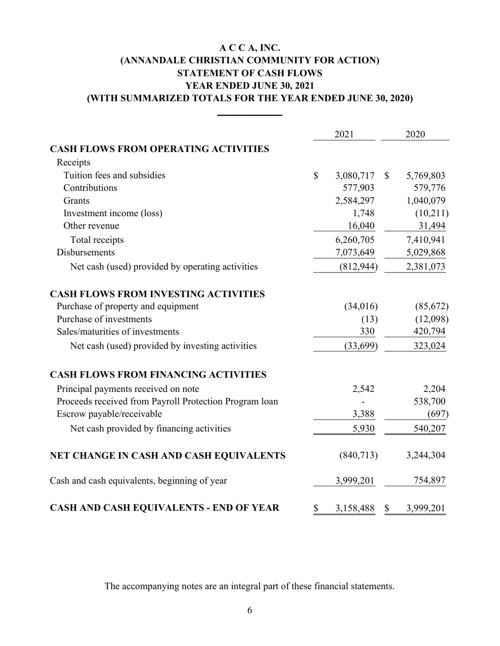# **A C C A, INC. (ANNANDALE CHRISTIAN COMMUNITY FOR ACTION) (WITH SUMMARIZED TOTALS FOR THE YEAR ENDED JUNE 30, 2020) STATEMENT OF CASH FLOWS YEAR ENDED JUNE 30, 2021**

**\_\_\_\_\_\_\_\_\_\_\_\_**

|                                                        | 2021            |              | 2020      |
|--------------------------------------------------------|-----------------|--------------|-----------|
| <b>CASH FLOWS FROM OPERATING ACTIVITIES</b>            |                 |              |           |
| Receipts                                               |                 |              |           |
| Tuition fees and subsidies                             | \$<br>3,080,717 | $\mathbb{S}$ | 5,769,803 |
| Contributions                                          | 577,903         |              | 579,776   |
| Grants                                                 | 2,584,297       |              | 1,040,079 |
| Investment income (loss)                               | 1,748           |              | (10,211)  |
| Other revenue                                          | 16,040          |              | 31,494    |
| Total receipts                                         | 6,260,705       |              | 7,410,941 |
| <b>Disbursements</b>                                   | 7,073,649       |              | 5,029,868 |
| Net cash (used) provided by operating activities       | (812, 944)      |              | 2,381,073 |
| <b>CASH FLOWS FROM INVESTING ACTIVITIES</b>            |                 |              |           |
| Purchase of property and equipment                     | (34,016)        |              | (85,672)  |
| Purchase of investments                                | (13)            |              | (12,098)  |
| Sales/maturities of investments                        | 330             |              | 420,794   |
| Net cash (used) provided by investing activities       | (33, 699)       |              | 323,024   |
| <b>CASH FLOWS FROM FINANCING ACTIVITIES</b>            |                 |              |           |
| Principal payments received on note                    | 2,542           |              | 2,204     |
| Proceeds received from Payroll Protection Program loan |                 |              | 538,700   |
| Escrow payable/receivable                              | 3,388           |              | (697)     |
| Net cash provided by financing activities              | 5,930           |              | 540,207   |
| NET CHANGE IN CASH AND CASH EQUIVALENTS                | (840,713)       |              | 3,244,304 |
| Cash and cash equivalents, beginning of year           | 3,999,201       |              | 754,897   |
| CASH AND CASH EQUIVALENTS - END OF YEAR                | \$<br>3,158,488 | $\mathbb{S}$ | 3,999,201 |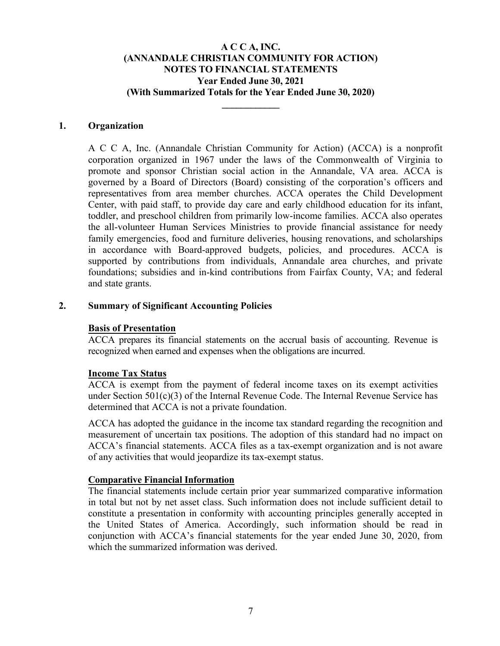**\_\_\_\_\_\_\_\_\_\_\_\_** 

### **1. Organization**

A C C A, Inc. (Annandale Christian Community for Action) (ACCA) is a nonprofit corporation organized in 1967 under the laws of the Commonwealth of Virginia to promote and sponsor Christian social action in the Annandale, VA area. ACCA is governed by a Board of Directors (Board) consisting of the corporation's officers and representatives from area member churches. ACCA operates the Child Development Center, with paid staff, to provide day care and early childhood education for its infant, toddler, and preschool children from primarily low-income families. ACCA also operates the all-volunteer Human Services Ministries to provide financial assistance for needy family emergencies, food and furniture deliveries, housing renovations, and scholarships in accordance with Board-approved budgets, policies, and procedures. ACCA is supported by contributions from individuals, Annandale area churches, and private foundations; subsidies and in-kind contributions from Fairfax County, VA; and federal and state grants.

### **2. Summary of Significant Accounting Policies**

### **Basis of Presentation**

ACCA prepares its financial statements on the accrual basis of accounting. Revenue is recognized when earned and expenses when the obligations are incurred.

#### **Income Tax Status**

ACCA is exempt from the payment of federal income taxes on its exempt activities under Section 501(c)(3) of the Internal Revenue Code. The Internal Revenue Service has determined that ACCA is not a private foundation.

ACCA has adopted the guidance in the income tax standard regarding the recognition and measurement of uncertain tax positions. The adoption of this standard had no impact on ACCA's financial statements. ACCA files as a tax-exempt organization and is not aware of any activities that would jeopardize its tax-exempt status.

#### **Comparative Financial Information**

The financial statements include certain prior year summarized comparative information in total but not by net asset class. Such information does not include sufficient detail to constitute a presentation in conformity with accounting principles generally accepted in the United States of America. Accordingly, such information should be read in conjunction with ACCA's financial statements for the year ended June 30, 2020, from which the summarized information was derived.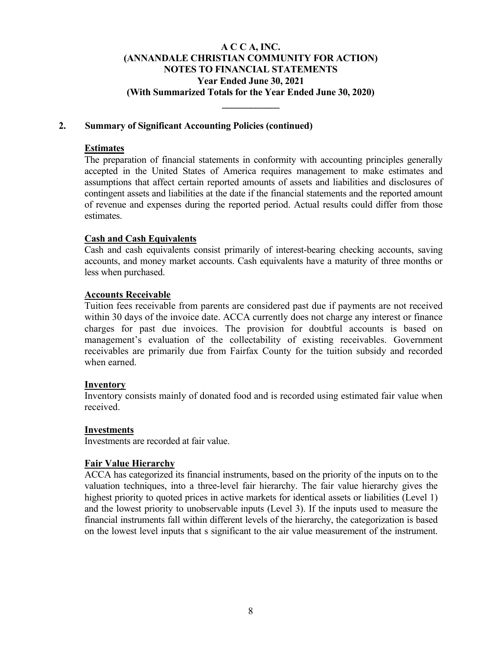**\_\_\_\_\_\_\_\_\_\_\_\_** 

### **2. Summary of Significant Accounting Policies (continued)**

### **Estimates**

The preparation of financial statements in conformity with accounting principles generally accepted in the United States of America requires management to make estimates and assumptions that affect certain reported amounts of assets and liabilities and disclosures of contingent assets and liabilities at the date if the financial statements and the reported amount of revenue and expenses during the reported period. Actual results could differ from those estimates.

### **Cash and Cash Equivalents**

Cash and cash equivalents consist primarily of interest-bearing checking accounts, saving accounts, and money market accounts. Cash equivalents have a maturity of three months or less when purchased.

### **Accounts Receivable**

Tuition fees receivable from parents are considered past due if payments are not received within 30 days of the invoice date. ACCA currently does not charge any interest or finance charges for past due invoices. The provision for doubtful accounts is based on management's evaluation of the collectability of existing receivables. Government receivables are primarily due from Fairfax County for the tuition subsidy and recorded when earned.

#### **Inventory**

Inventory consists mainly of donated food and is recorded using estimated fair value when received.

#### **Investments**

Investments are recorded at fair value.

#### **Fair Value Hierarchy**

ACCA has categorized its financial instruments, based on the priority of the inputs on to the valuation techniques, into a three-level fair hierarchy. The fair value hierarchy gives the highest priority to quoted prices in active markets for identical assets or liabilities (Level 1) and the lowest priority to unobservable inputs (Level 3). If the inputs used to measure the financial instruments fall within different levels of the hierarchy, the categorization is based on the lowest level inputs that s significant to the air value measurement of the instrument.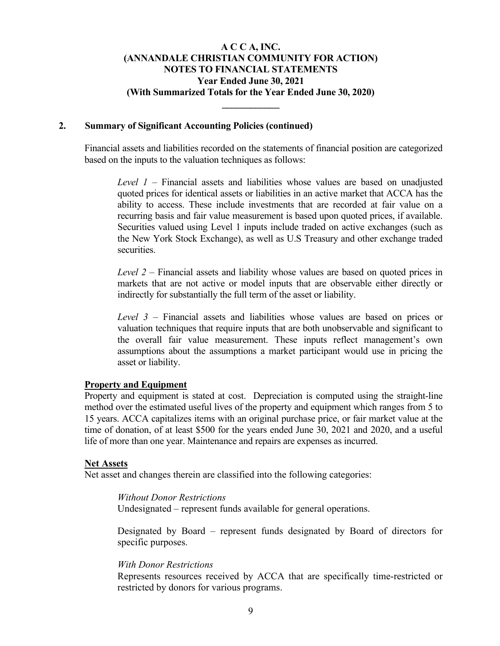**\_\_\_\_\_\_\_\_\_\_\_\_** 

#### **2. Summary of Significant Accounting Policies (continued)**

Financial assets and liabilities recorded on the statements of financial position are categorized based on the inputs to the valuation techniques as follows:

*Level 1* – Financial assets and liabilities whose values are based on unadjusted quoted prices for identical assets or liabilities in an active market that ACCA has the ability to access. These include investments that are recorded at fair value on a recurring basis and fair value measurement is based upon quoted prices, if available. Securities valued using Level 1 inputs include traded on active exchanges (such as the New York Stock Exchange), as well as U.S Treasury and other exchange traded securities.

*Level 2* – Financial assets and liability whose values are based on quoted prices in markets that are not active or model inputs that are observable either directly or indirectly for substantially the full term of the asset or liability.

*Level 3* – Financial assets and liabilities whose values are based on prices or valuation techniques that require inputs that are both unobservable and significant to the overall fair value measurement. These inputs reflect management's own assumptions about the assumptions a market participant would use in pricing the asset or liability.

#### **Property and Equipment**

Property and equipment is stated at cost. Depreciation is computed using the straight-line method over the estimated useful lives of the property and equipment which ranges from 5 to 15 years. ACCA capitalizes items with an original purchase price, or fair market value at the time of donation, of at least \$500 for the years ended June 30, 2021 and 2020, and a useful life of more than one year. Maintenance and repairs are expenses as incurred.

#### **Net Assets**

Net asset and changes therein are classified into the following categories:

#### *Without Donor Restrictions*

Undesignated – represent funds available for general operations.

Designated by Board – represent funds designated by Board of directors for specific purposes.

#### *With Donor Restrictions*

Represents resources received by ACCA that are specifically time-restricted or restricted by donors for various programs.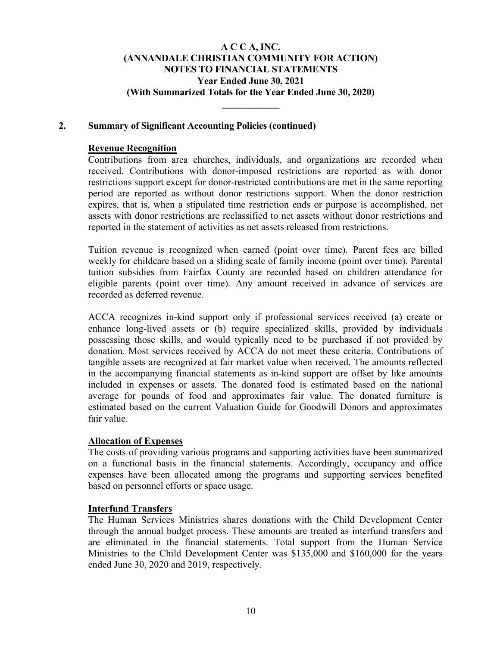**\_\_\_\_\_\_\_\_\_\_\_\_** 

### **2. Summary of Significant Accounting Policies (continued)**

#### **Revenue Recognition**

Contributions from area churches, individuals, and organizations are recorded when received. Contributions with donor-imposed restrictions are reported as with donor restrictions support except for donor-restricted contributions are met in the same reporting period are reported as without donor restrictions support. When the donor restriction expires, that is, when a stipulated time restriction ends or purpose is accomplished, net assets with donor restrictions are reclassified to net assets without donor restrictions and reported in the statement of activities as net assets released from restrictions.

Tuition revenue is recognized when earned (point over time). Parent fees are billed weekly for childcare based on a sliding scale of family income (point over time). Parental tuition subsidies from Fairfax County are recorded based on children attendance for eligible parents (point over time). Any amount received in advance of services are recorded as deferred revenue.

ACCA recognizes in-kind support only if professional services received (a) create or enhance long-lived assets or (b) require specialized skills, provided by individuals possessing those skills, and would typically need to be purchased if not provided by donation. Most services received by ACCA do not meet these criteria. Contributions of tangible assets are recognized at fair market value when received. The amounts reflected in the accompanying financial statements as in-kind support are offset by like amounts included in expenses or assets. The donated food is estimated based on the national average for pounds of food and approximates fair value. The donated furniture is estimated based on the current Valuation Guide for Goodwill Donors and approximates fair value.

### **Allocation of Expenses**

The costs of providing various programs and supporting activities have been summarized on a functional basis in the financial statements. Accordingly, occupancy and office expenses have been allocated among the programs and supporting services benefited based on personnel efforts or space usage.

#### **Interfund Transfers**

The Human Services Ministries shares donations with the Child Development Center through the annual budget process. These amounts are treated as interfund transfers and are eliminated in the financial statements. Total support from the Human Service Ministries to the Child Development Center was \$135,000 and \$160,000 for the years ended June 30, 2020 and 2019, respectively.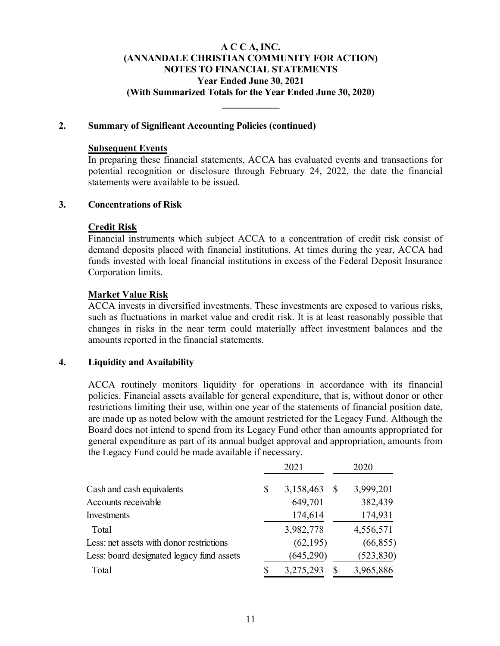**\_\_\_\_\_\_\_\_\_\_\_\_** 

### **2. Summary of Significant Accounting Policies (continued)**

### **Subsequent Events**

In preparing these financial statements, ACCA has evaluated events and transactions for potential recognition or disclosure through February 24, 2022, the date the financial statements were available to be issued.

#### **3. Concentrations of Risk**

### **Credit Risk**

Financial instruments which subject ACCA to a concentration of credit risk consist of demand deposits placed with financial institutions. At times during the year, ACCA had funds invested with local financial institutions in excess of the Federal Deposit Insurance Corporation limits.

### **Market Value Risk**

ACCA invests in diversified investments. These investments are exposed to various risks, such as fluctuations in market value and credit risk. It is at least reasonably possible that changes in risks in the near term could materially affect investment balances and the amounts reported in the financial statements.

#### **4. Liquidity and Availability**

ACCA routinely monitors liquidity for operations in accordance with its financial policies. Financial assets available for general expenditure, that is, without donor or other restrictions limiting their use, within one year of the statements of financial position date, are made up as noted below with the amount restricted for the Legacy Fund. Although the Board does not intend to spend from its Legacy Fund other than amounts appropriated for general expenditure as part of its annual budget approval and appropriation, amounts from the Legacy Fund could be made available if necessary.

|                                           | 2021            |    | 2020       |
|-------------------------------------------|-----------------|----|------------|
| Cash and cash equivalents                 | \$<br>3,158,463 | S  | 3,999,201  |
| Accounts receivable                       | 649,701         |    | 382,439    |
| Investments                               | 174,614         |    | 174,931    |
| Total                                     | 3,982,778       |    | 4,556,571  |
| Less: net assets with donor restrictions  | (62, 195)       |    | (66, 855)  |
| Less: board designated legacy fund assets | (645,290)       |    | (523, 830) |
| Total                                     | 3,275,293       | \$ | 3,965,886  |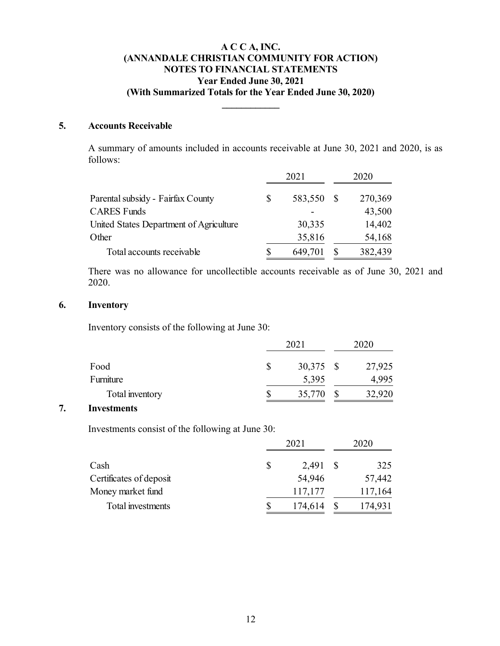**\_\_\_\_\_\_\_\_\_\_\_\_** 

### **5. Accounts Receivable**

A summary of amounts included in accounts receivable at June 30, 2021 and 2020, is as follows:

|                                         |   | 2021       | 2020    |
|-----------------------------------------|---|------------|---------|
| Parental subsidy - Fairfax County       | S | 583,550 \$ | 270,369 |
| <b>CARES Funds</b>                      |   |            | 43,500  |
| United States Department of Agriculture |   | 30,335     | 14,402  |
| Other                                   |   | 35,816     | 54,168  |
| Total accounts receivable               |   | 649,701    | 382,439 |

There was no allowance for uncollectible accounts receivable as of June 30, 2021 and 2020.

### **6. Inventory**

Inventory consists of the following at June 30:

|                 | 2021      |  |        |  |  |
|-----------------|-----------|--|--------|--|--|
| Food            | 30,375 \$ |  | 27,925 |  |  |
| Furniture       | 5,395     |  | 4,995  |  |  |
| Total inventory | 35,770    |  | 32,920 |  |  |

### **7. Investments**

Investments consist of the following at June 30:

|                         |              | 2021     | 2020    |
|-------------------------|--------------|----------|---------|
| Cash                    | <sup>8</sup> | 2,491 \$ | 325     |
| Certificates of deposit |              | 54,946   | 57,442  |
| Money market fund       |              | 117,177  | 117,164 |
| Total investments       |              | 174,614  | 174,931 |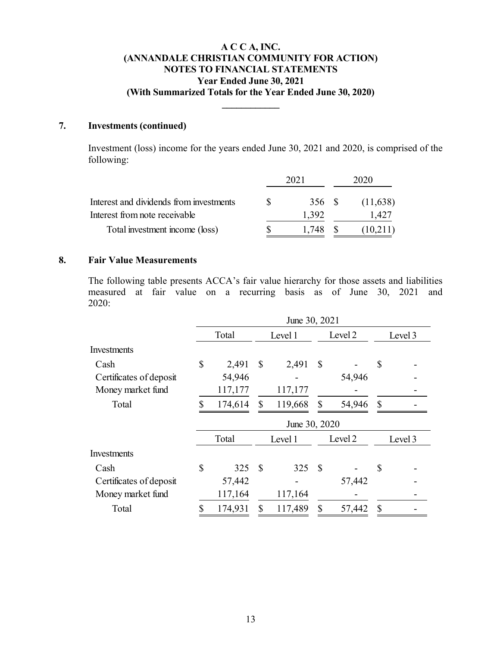**\_\_\_\_\_\_\_\_\_\_\_\_** 

# **7. Investments (continued)**

Investment (loss) income for the years ended June 30, 2021 and 2020, is comprised of the following:

|                                         | 2021    | 2020     |
|-----------------------------------------|---------|----------|
| Interest and dividends from investments | 356 \$  | (11,638) |
| Interest from note receivable           | 1,392   | 1,427    |
| Total investment income (loss)          | 1.748 S | (10,211) |

### **8. Fair Value Measurements**

The following table presents ACCA's fair value hierarchy for those assets and liabilities measured at fair value on a recurring basis as of June 30, 2021 and 2020:

|                         |               |         |               | June 30, 2021 |               |         |               |         |
|-------------------------|---------------|---------|---------------|---------------|---------------|---------|---------------|---------|
|                         |               | Total   |               | Level 1       |               | Level 2 |               | Level 3 |
| Investments             |               |         |               |               |               |         |               |         |
| Cash                    | \$            | 2,491   | <b>S</b>      | 2,491         | S             |         | \$            |         |
| Certificates of deposit |               | 54,946  |               |               |               | 54,946  |               |         |
| Money market fund       |               | 117,177 |               | 117,177       |               |         |               |         |
| Total                   | \$            | 174,614 | $\mathbb{S}$  | 119,668       | $\mathbb{S}$  | 54,946  | $\mathbb{S}$  |         |
|                         |               |         |               | June 30, 2020 |               |         |               |         |
|                         |               | Total   |               | Level 1       |               | Level 2 |               | Level 3 |
| Investments             |               |         |               |               |               |         |               |         |
| Cash                    | $\mathcal{S}$ | 325     | <sup>\$</sup> | 325           | $\mathcal{S}$ |         | $\mathcal{S}$ |         |
| Certificates of deposit |               | 57,442  |               |               |               | 57,442  |               |         |
| Money market fund       |               | 117,164 |               | 117,164       |               |         |               |         |
| Total                   |               | 174,931 |               | 117,489       | \$            | 57,442  | \$            |         |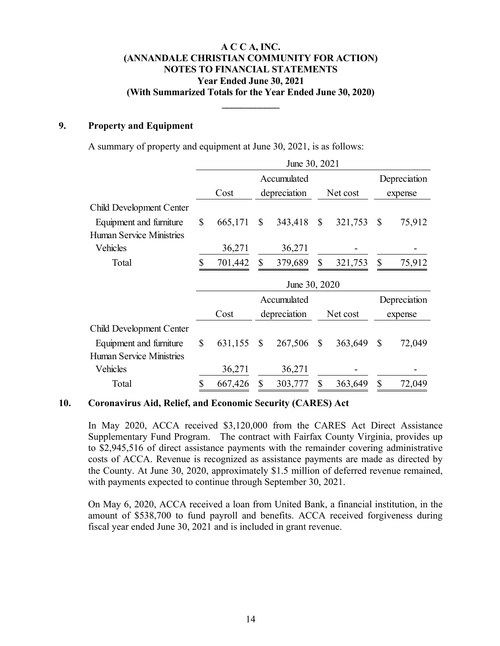**\_\_\_\_\_\_\_\_\_\_\_\_** 

### **9. Property and Equipment**

A summary of property and equipment at June 30, 2021, is as follows:

|                                 |               |              | June 30, 2021 |              |          |               |              |
|---------------------------------|---------------|--------------|---------------|--------------|----------|---------------|--------------|
|                                 |               |              | Accumulated   |              |          |               | Depreciation |
|                                 | Cost          |              | depreciation  |              | Net cost |               | expense      |
| Child Development Center        |               |              |               |              |          |               |              |
| Equipment and furniture         | \$<br>665,171 | $\mathbb{S}$ | 343,418       | \$           | 321,753  | $\mathcal{S}$ | 75,912       |
| <b>Human Service Ministries</b> |               |              |               |              |          |               |              |
| Vehicles                        | 36,271        |              | 36,271        |              |          |               |              |
| Total                           | \$<br>701,442 | \$           | 379,689       | \$           | 321,753  | $\mathcal{S}$ | 75,912       |
|                                 | June 30, 2020 |              |               |              |          |               |              |
|                                 |               |              |               |              |          |               |              |
|                                 |               |              | Accumulated   |              |          |               | Depreciation |
|                                 | Cost          |              | depreciation  |              | Net cost |               | expense      |
| Child Development Center        |               |              |               |              |          |               |              |
| Equipment and furniture         | \$<br>631,155 | $\mathbb{S}$ | 267,506       | $\mathbb{S}$ | 363,649  | $\mathbb{S}$  | 72,049       |
| <b>Human Service Ministries</b> |               |              |               |              |          |               |              |
| Vehicles                        | 36,271        |              | 36,271        |              |          |               |              |

#### **10. Coronavirus Aid, Relief, and Economic Security (CARES) Act**

In May 2020, ACCA received \$3,120,000 from the CARES Act Direct Assistance Supplementary Fund Program. The contract with Fairfax County Virginia, provides up to \$2,945,516 of direct assistance payments with the remainder covering administrative costs of ACCA. Revenue is recognized as assistance payments are made as directed by the County. At June 30, 2020, approximately \$1.5 million of deferred revenue remained, with payments expected to continue through September 30, 2021.

On May 6, 2020, ACCA received a loan from United Bank, a financial institution, in the amount of \$538,700 to fund payroll and benefits. ACCA received forgiveness during fiscal year ended June 30, 2021 and is included in grant revenue.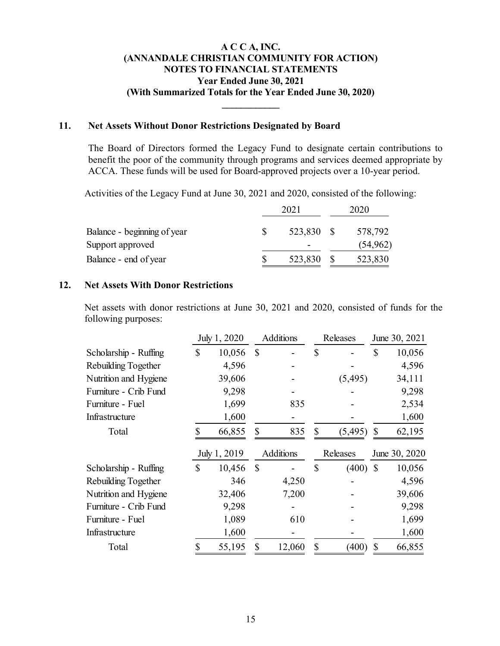**\_\_\_\_\_\_\_\_\_\_\_\_** 

### **11. Net Assets Without Donor Restrictions Designated by Board**

The Board of Directors formed the Legacy Fund to designate certain contributions to benefit the poor of the community through programs and services deemed appropriate by ACCA. These funds will be used for Board-approved projects over a 10-year period.

Activities of the Legacy Fund at June 30, 2021 and 2020, consisted of the following:

|                             |  | 2020       |  |           |
|-----------------------------|--|------------|--|-----------|
| Balance - beginning of year |  | 523,830 \$ |  | 578,792   |
| Support approved            |  | -          |  | (54, 962) |
| Balance - end of year       |  | 523,830    |  | 523,830   |

#### **12. Net Assets With Donor Restrictions**

Net assets with donor restrictions at June 30, 2021 and 2020, consisted of funds for the following purposes:

|                       |               | July 1, 2020 | Additions        |               | Releases   |               | June 30, 2021             |
|-----------------------|---------------|--------------|------------------|---------------|------------|---------------|---------------------------|
| Scholarship - Ruffing | \$            | 10,056       | \$               | $\mathcal{S}$ |            | $\mathcal{S}$ | 10,056                    |
| Rebuilding Together   |               | 4,596        |                  |               |            |               | 4,596                     |
| Nutrition and Hygiene |               | 39,606       |                  |               | (5,495)    |               | 34,111                    |
| Furniture - Crib Fund |               | 9,298        |                  |               |            |               | 9,298                     |
| Furniture - Fuel      |               | 1,699        | 835              |               |            |               | 2,534                     |
| Infrastructure        |               | 1,600        |                  |               |            |               | 1,600                     |
| Total                 |               | 66,855       | \$<br>835        | \$            | (5, 495)   | \$            | 62,195                    |
|                       |               |              |                  |               |            |               |                           |
|                       |               | July 1, 2019 | <b>Additions</b> |               | Releases   |               | June 30, 2020             |
| Scholarship - Ruffing | $\mathcal{S}$ | 10,456       | \$               | \$            | $(400)$ \$ |               |                           |
| Rebuilding Together   |               | 346          | 4,250            |               |            |               |                           |
| Nutrition and Hygiene |               | 32,406       | 7,200            |               |            |               | 10,056<br>4,596<br>39,606 |
| Furniture - Crib Fund |               | 9,298        |                  |               |            |               | 9,298                     |
| Furniture - Fuel      |               | 1,089        | 610              |               |            |               | 1,699                     |
| Infrastructure        |               | 1,600        |                  |               |            |               | 1,600                     |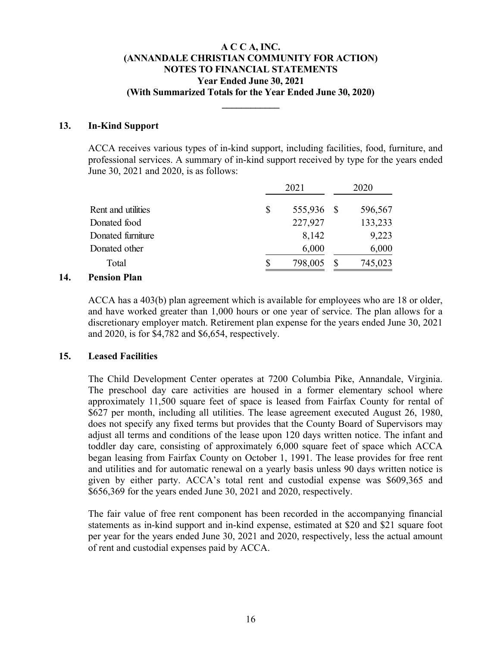**\_\_\_\_\_\_\_\_\_\_\_\_** 

### **13. In-Kind Support**

ACCA receives various types of in-kind support, including facilities, food, furniture, and professional services. A summary of in-kind support received by type for the years ended June 30, 2021 and 2020, is as follows:

|                                   |    | 2020       |  |         |
|-----------------------------------|----|------------|--|---------|
| Rent and utilities                | \$ | 555,936 \$ |  | 596,567 |
| Donated food                      |    | 227,927    |  | 133,233 |
| Donated furniture                 |    | 8,142      |  | 9,223   |
| Donated other                     |    | 6,000      |  | 6,000   |
| Total                             |    | 798,005    |  | 745,023 |
| $\blacksquare$<br>$\cdot$ $\cdot$ |    |            |  |         |

### **14. Pension Plan**

ACCA has a 403(b) plan agreement which is available for employees who are 18 or older, and have worked greater than 1,000 hours or one year of service. The plan allows for a discretionary employer match. Retirement plan expense for the years ended June 30, 2021 and 2020, is for \$4,782 and \$6,654, respectively.

# **15. Leased Facilities**

The Child Development Center operates at 7200 Columbia Pike, Annandale, Virginia. The preschool day care activities are housed in a former elementary school where approximately 11,500 square feet of space is leased from Fairfax County for rental of \$627 per month, including all utilities. The lease agreement executed August 26, 1980, does not specify any fixed terms but provides that the County Board of Supervisors may adjust all terms and conditions of the lease upon 120 days written notice. The infant and toddler day care, consisting of approximately 6,000 square feet of space which ACCA began leasing from Fairfax County on October 1, 1991. The lease provides for free rent and utilities and for automatic renewal on a yearly basis unless 90 days written notice is given by either party. ACCA's total rent and custodial expense was \$609,365 and \$656,369 for the years ended June 30, 2021 and 2020, respectively.

The fair value of free rent component has been recorded in the accompanying financial statements as in-kind support and in-kind expense, estimated at \$20 and \$21 square foot per year for the years ended June 30, 2021 and 2020, respectively, less the actual amount of rent and custodial expenses paid by ACCA.